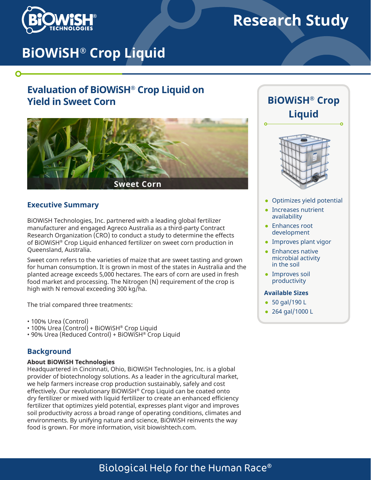

 $\mathbf O$ 

# **Research Study**

# **BiOWiSH® Crop Liquid**

## **Evaluation of BiOWiSH® Crop Liquid on Yield in Sweet Corn**



### **Executive Summary**

BiOWiSH Technologies, Inc. partnered with a leading global fertilizer manufacturer and engaged Agreco Australia as a third-party Contract Research Organization (CRO) to conduct a study to determine the effects of BiOWiSH® Crop Liquid enhanced fertilizer on sweet corn production in Queensland, Australia.

Sweet corn refers to the varieties of maize that are sweet tasting and grown for human consumption. It is grown in most of the states in Australia and the planted acreage exceeds 5,000 hectares. The ears of corn are used in fresh food market and processing. The Nitrogen (N) requirement of the crop is high with N removal exceeding 300 kg/ha.

The trial compared three treatments:

• 100% Urea (Control)

- 100% Urea (Control) + BiOWiSH® Crop Liquid
- 90% Urea (Reduced Control) + BiOWiSH® Crop Liquid

## **Background**

#### **About BiOWiSH Technologies**

Headquartered in Cincinnati, Ohio, BiOWiSH Technologies, Inc. is a global provider of biotechnology solutions. As a leader in the agricultural market, we help farmers increase crop production sustainably, safely and cost effectively. Our revolutionary BiOWiSH® Crop Liquid can be coated onto dry fertilizer or mixed with liquid fertilizer to create an enhanced efficiency fertilizer that optimizes yield potential, expresses plant vigor and improves soil productivity across a broad range of operating conditions, climates and environments. By unifying nature and science, BiOWiSH reinvents the way food is grown. For more information, visit biowishtech.com.





- Optimizes yield potential
- Increases nutrient availability
- Enhances root development
- Improves plant vigor
- Enhances native microbial activity in the soil
- Improves soil productivity

#### **Available Sizes**

- 50 gal/190 L
- 264 gal/1000 L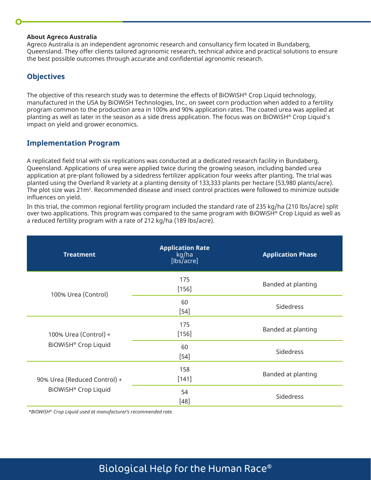#### **About Agreco Australia**

Agreco Australia is an independent agronomic research and consultancy firm located in Bundaberg, Queensland. They offer clients tailored agronomic research, technical advice and practical solutions to ensure the best possible outcomes through accurate and confidential agronomic research.

## **Objectives**

The objective of this research study was to determine the effects of BiOWiSH® Crop Liquid technology, manufactured in the USA by BiOWiSH Technologies, Inc., on sweet corn production when added to a fertility program common to the production area in 100% and 90% application rates. The coated urea was applied at planting as well as later in the season as a side dress application. The focus was on BiOWiSH® Crop Liquid's impact on yield and grower economics.

## **Implementation Program**

A replicated field trial with six replications was conducted at a dedicated research facility in Bundaberg, Queensland. Applications of urea were applied twice during the growing season, including banded urea application at pre-plant followed by a sidedress fertilizer application four weeks after planting. The trial was planted using the Overland R variety at a planting density of 133,333 plants per hectare (53,980 plants/acre). The plot size was 21m². Recommended disease and insect control practices were followed to minimize outside influences on yield.

In this trial, the common regional fertility program included the standard rate of 235 kg/ha (210 lbs/acre) split over two applications. This program was compared to the same program with BiOWiSH® Crop Liquid as well as a reduced fertility program with a rate of 212 kg/ha (189 lbs/acre).

| <b>Treatment</b>                                          | <b>Application Rate</b><br>kg/ha<br>$[$ lbs/acre] | <b>Application Phase</b> |  |
|-----------------------------------------------------------|---------------------------------------------------|--------------------------|--|
| 100% Urea (Control)                                       | 175<br>$[156]$                                    | Banded at planting       |  |
|                                                           | 60<br>$[54]$                                      | Sidedress                |  |
| 100% Urea (Control) +<br>BiOWiSH <sup>®</sup> Crop Liquid | 175<br>$[156]$                                    | Banded at planting       |  |
|                                                           | 60<br>$[54]$                                      | Sidedress                |  |
| 90% Urea (Reduced Control) +<br>BiOWiSH® Crop Liquid      | 158<br>$[141]$                                    | Banded at planting       |  |
|                                                           | 54<br>$[48]$                                      | Sidedress                |  |

*\*BiOWiSH® Crop Liquid used at manufacturer's recommended rate.*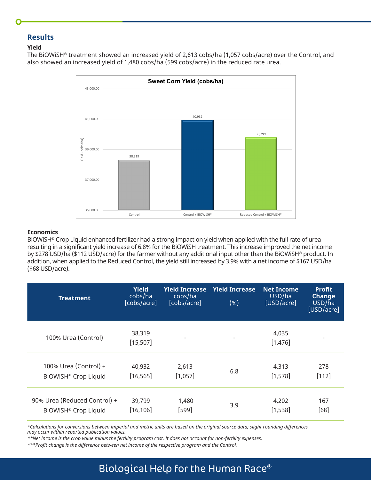### **Results**

#### **Yield**

The BiOWiSH® treatment showed an increased yield of 2,613 cobs/ha (1,057 cobs/acre) over the Control, and also showed an increased yield of 1,480 cobs/ha (599 cobs/acre) in the reduced rate urea.



#### **Economics**

BiOWiSH® Crop Liquid enhanced fertilizer had a strong impact on yield when applied with the full rate of urea resulting in a significant yield increase of 6.8% for the BiOWiSH treatment. This increase improved the net income by \$278 USD/ha (\$112 USD/acre) for the farmer without any additional input other than the BiOWiSH® product. In addition, when applied to the Reduced Control, the yield still increased by 3.9% with a net income of \$167 USD/ha (\$68 USD/acre).

| <b>Treatment</b>                 | <b>Yield</b><br>cobs/ha<br>[cobs/acre] | <b>Yield Increase</b><br>cobs/ha<br>[cobs/acre] | <b>Yield Increase</b><br>( %) | <b>Net Income</b><br>USD/ha<br>[USD/acre] | <b>Profit</b><br><b>Change</b><br>USD/ha<br>[USD/acre] |
|----------------------------------|----------------------------------------|-------------------------------------------------|-------------------------------|-------------------------------------------|--------------------------------------------------------|
| 100% Urea (Control)              | 38,319<br>[15, 507]                    |                                                 |                               | 4,035<br>[1,476]                          |                                                        |
| 100% Urea (Control) +            | 40,932                                 | 2,613                                           | 6.8                           | 4.313                                     | 278                                                    |
| BiOWiSH® Crop Liquid             | [16, 565]                              | [1,057]                                         |                               | [1, 578]                                  | $[112]$                                                |
| 90% Urea (Reduced Control) +     | 39,799                                 | 1,480                                           | 3.9                           | 4,202                                     | 167                                                    |
| BiOWiSH <sup>®</sup> Crop Liquid | [16, 106]                              | $[599]$                                         |                               | [1, 538]                                  | [68]                                                   |

*\*Calculations for conversions between imperial and metric units are based on the original source data; slight rounding differences may occur within reported publication values.* 

*\*\*Net income is the crop value minus the fertility program cost. It does not account for non-fertility expenses.* 

*\*\*\*Profit change is the difference between net income of the respective program and the Control.*